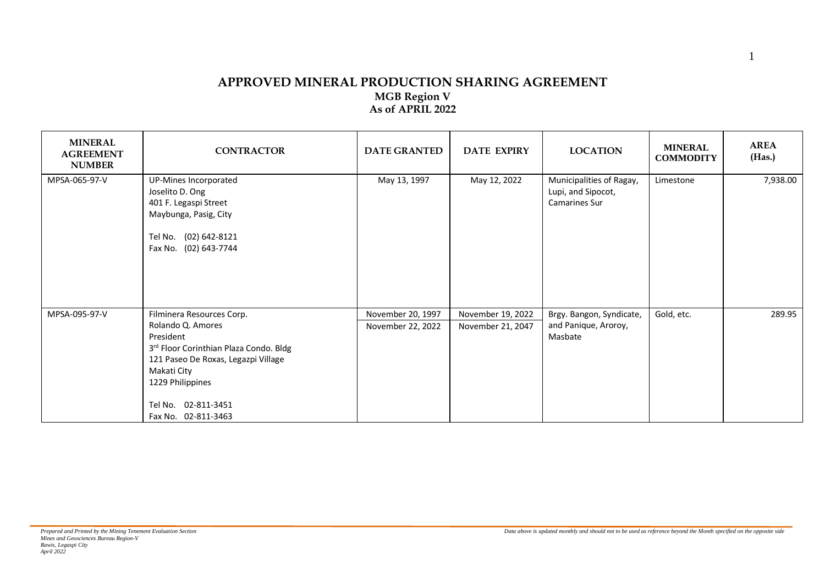## **APPROVED MINERAL PRODUCTION SHARING AGREEMENT MGB Region V As of APRIL 2022**

| <b>MINERAL</b><br><b>AGREEMENT</b><br><b>NUMBER</b> | <b>CONTRACTOR</b>                                                                                                                                                                                                             | <b>DATE GRANTED</b>                    | <b>DATE EXPIRY</b>                     | <b>LOCATION</b>                                                 | <b>MINERAL</b><br><b>COMMODITY</b> | <b>AREA</b><br>(Has.) |
|-----------------------------------------------------|-------------------------------------------------------------------------------------------------------------------------------------------------------------------------------------------------------------------------------|----------------------------------------|----------------------------------------|-----------------------------------------------------------------|------------------------------------|-----------------------|
| MPSA-065-97-V                                       | UP-Mines Incorporated<br>Joselito D. Ong<br>401 F. Legaspi Street<br>Maybunga, Pasig, City<br>Tel No. (02) 642-8121<br>Fax No. (02) 643-7744                                                                                  | May 13, 1997                           | May 12, 2022                           | Municipalities of Ragay,<br>Lupi, and Sipocot,<br>Camarines Sur | Limestone                          | 7,938.00              |
| MPSA-095-97-V                                       | Filminera Resources Corp.<br>Rolando Q. Amores<br>President<br>3rd Floor Corinthian Plaza Condo. Bldg<br>121 Paseo De Roxas, Legazpi Village<br>Makati City<br>1229 Philippines<br>Tel No. 02-811-3451<br>Fax No. 02-811-3463 | November 20, 1997<br>November 22, 2022 | November 19, 2022<br>November 21, 2047 | Brgy. Bangon, Syndicate,<br>and Panique, Aroroy,<br>Masbate     | Gold, etc.                         | 289.95                |

1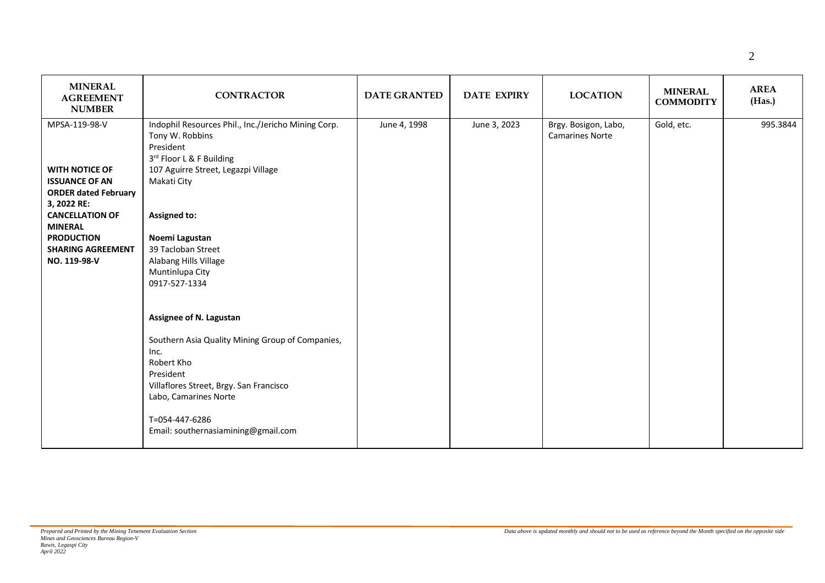| <b>MINERAL</b><br><b>AGREEMENT</b><br><b>NUMBER</b> | <b>CONTRACTOR</b>                                                                                               | <b>DATE GRANTED</b> | <b>DATE EXPIRY</b> | <b>LOCATION</b>                                | <b>MINERAL</b><br><b>COMMODITY</b> | <b>AREA</b><br>(Has.) |
|-----------------------------------------------------|-----------------------------------------------------------------------------------------------------------------|---------------------|--------------------|------------------------------------------------|------------------------------------|-----------------------|
| MPSA-119-98-V                                       | Indophil Resources Phil., Inc./Jericho Mining Corp.<br>Tony W. Robbins<br>President<br>3rd Floor L & F Building | June 4, 1998        | June 3, 2023       | Brgy. Bosigon, Labo,<br><b>Camarines Norte</b> | Gold, etc.                         | 995.3844              |
| <b>WITH NOTICE OF</b>                               | 107 Aguirre Street, Legazpi Village                                                                             |                     |                    |                                                |                                    |                       |
| <b>ISSUANCE OF AN</b>                               | Makati City                                                                                                     |                     |                    |                                                |                                    |                       |
| <b>ORDER dated February</b>                         |                                                                                                                 |                     |                    |                                                |                                    |                       |
| 3, 2022 RE:                                         |                                                                                                                 |                     |                    |                                                |                                    |                       |
| <b>CANCELLATION OF</b>                              | <b>Assigned to:</b>                                                                                             |                     |                    |                                                |                                    |                       |
| <b>MINERAL</b><br><b>PRODUCTION</b>                 | Noemi Lagustan                                                                                                  |                     |                    |                                                |                                    |                       |
| <b>SHARING AGREEMENT</b>                            | 39 Tacloban Street                                                                                              |                     |                    |                                                |                                    |                       |
| NO. 119-98-V                                        | Alabang Hills Village                                                                                           |                     |                    |                                                |                                    |                       |
|                                                     | Muntinlupa City                                                                                                 |                     |                    |                                                |                                    |                       |
|                                                     | 0917-527-1334                                                                                                   |                     |                    |                                                |                                    |                       |
|                                                     | Assignee of N. Lagustan                                                                                         |                     |                    |                                                |                                    |                       |
|                                                     | Southern Asia Quality Mining Group of Companies,<br>Inc.                                                        |                     |                    |                                                |                                    |                       |
|                                                     | Robert Kho                                                                                                      |                     |                    |                                                |                                    |                       |
|                                                     | President                                                                                                       |                     |                    |                                                |                                    |                       |
|                                                     | Villaflores Street, Brgy. San Francisco<br>Labo, Camarines Norte                                                |                     |                    |                                                |                                    |                       |
|                                                     | T=054-447-6286<br>Email: southernasiamining@gmail.com                                                           |                     |                    |                                                |                                    |                       |
|                                                     |                                                                                                                 |                     |                    |                                                |                                    |                       |

 $\overline{\phantom{0}}$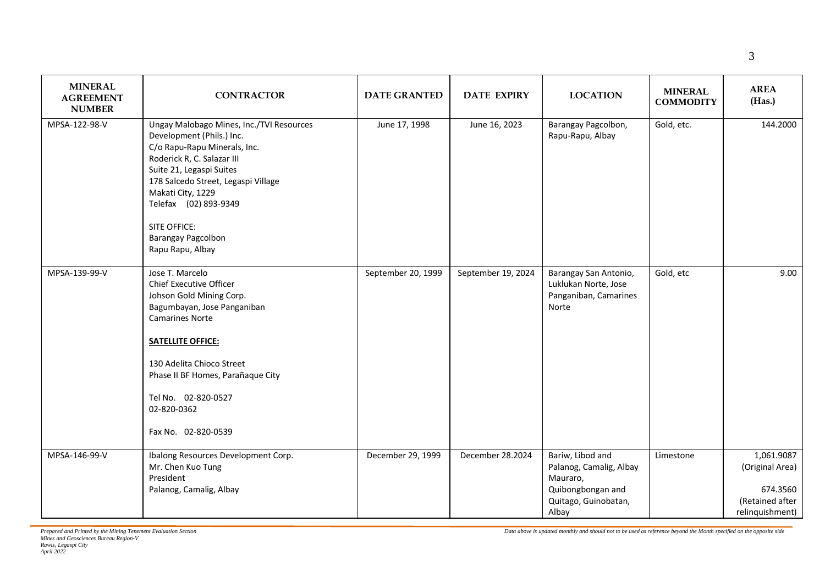| <b>MINERAL</b><br><b>AGREEMENT</b><br><b>NUMBER</b> | <b>CONTRACTOR</b>                                                                                                                                                                                                                                                                                                     | <b>DATE GRANTED</b> | <b>DATE EXPIRY</b> | <b>LOCATION</b>                                                                                               | <b>MINERAL</b><br><b>COMMODITY</b> | <b>AREA</b><br>(Has.)                                                           |
|-----------------------------------------------------|-----------------------------------------------------------------------------------------------------------------------------------------------------------------------------------------------------------------------------------------------------------------------------------------------------------------------|---------------------|--------------------|---------------------------------------------------------------------------------------------------------------|------------------------------------|---------------------------------------------------------------------------------|
| MPSA-122-98-V                                       | Ungay Malobago Mines, Inc./TVI Resources<br>Development (Phils.) Inc.<br>C/o Rapu-Rapu Minerals, Inc.<br>Roderick R, C. Salazar III<br>Suite 21, Legaspi Suites<br>178 Salcedo Street, Legaspi Village<br>Makati City, 1229<br>Telefax (02) 893-9349<br><b>SITE OFFICE:</b><br>Barangay Pagcolbon<br>Rapu Rapu, Albay | June 17, 1998       | June 16, 2023      | Barangay Pagcolbon,<br>Rapu-Rapu, Albay                                                                       | Gold, etc.                         | 144.2000                                                                        |
| MPSA-139-99-V                                       | Jose T. Marcelo<br><b>Chief Executive Officer</b><br>Johson Gold Mining Corp.<br>Bagumbayan, Jose Panganiban<br><b>Camarines Norte</b><br><b>SATELLITE OFFICE:</b><br>130 Adelita Chioco Street<br>Phase II BF Homes, Parañaque City<br>Tel No. 02-820-0527<br>02-820-0362<br>Fax No. 02-820-0539                     | September 20, 1999  | September 19, 2024 | Barangay San Antonio,<br>Luklukan Norte, Jose<br>Panganiban, Camarines<br>Norte                               | Gold, etc                          | 9.00                                                                            |
| MPSA-146-99-V                                       | Ibalong Resources Development Corp.<br>Mr. Chen Kuo Tung<br>President<br>Palanog, Camalig, Albay                                                                                                                                                                                                                      | December 29, 1999   | December 28.2024   | Bariw, Libod and<br>Palanog, Camalig, Albay<br>Mauraro,<br>Quibongbongan and<br>Quitago, Guinobatan,<br>Albay | Limestone                          | 1,061.9087<br>(Original Area)<br>674.3560<br>(Retained after<br>relinquishment) |

Т

Τ

T

 $\mathbf{r}$ 

┰

*Data above is updated monthly and should not to be used as reference beyond the Month specified on the opposite side*

┱

┱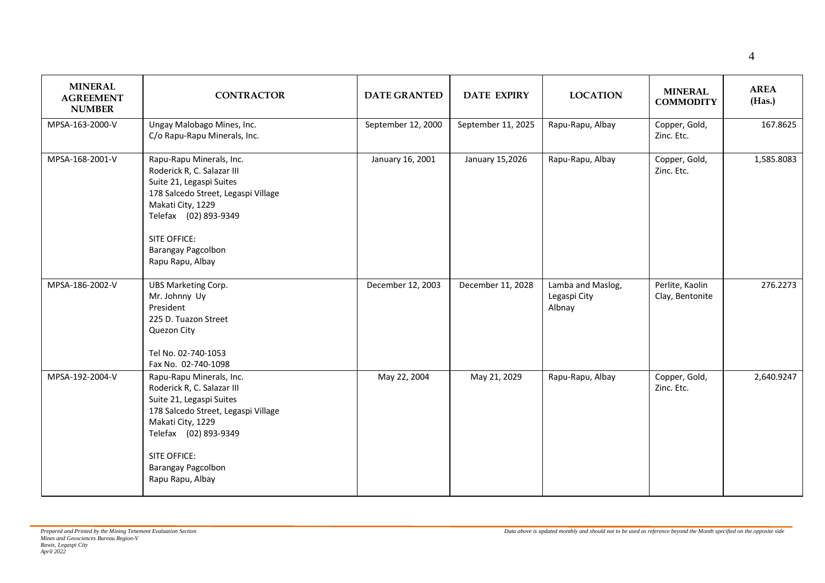| <b>MINERAL</b><br><b>AGREEMENT</b><br><b>NUMBER</b> | <b>CONTRACTOR</b>                                                                                                                                                                                                                               | <b>DATE GRANTED</b> | <b>DATE EXPIRY</b> | <b>LOCATION</b>                             | <b>MINERAL</b><br><b>COMMODITY</b> | <b>AREA</b><br>(Has.) |
|-----------------------------------------------------|-------------------------------------------------------------------------------------------------------------------------------------------------------------------------------------------------------------------------------------------------|---------------------|--------------------|---------------------------------------------|------------------------------------|-----------------------|
| MPSA-163-2000-V                                     | Ungay Malobago Mines, Inc.<br>C/o Rapu-Rapu Minerals, Inc.                                                                                                                                                                                      | September 12, 2000  | September 11, 2025 | Rapu-Rapu, Albay                            | Copper, Gold,<br>Zinc. Etc.        | 167.8625              |
| MPSA-168-2001-V                                     | Rapu-Rapu Minerals, Inc.<br>Roderick R, C. Salazar III<br>Suite 21, Legaspi Suites<br>178 Salcedo Street, Legaspi Village<br>Makati City, 1229<br>Telefax (02) 893-9349<br><b>SITE OFFICE:</b><br><b>Barangay Pagcolbon</b><br>Rapu Rapu, Albay | January 16, 2001    | January 15,2026    | Rapu-Rapu, Albay                            | Copper, Gold,<br>Zinc. Etc.        | 1,585.8083            |
| MPSA-186-2002-V                                     | <b>UBS Marketing Corp.</b><br>Mr. Johnny Uy<br>President<br>225 D. Tuazon Street<br>Quezon City<br>Tel No. 02-740-1053<br>Fax No. 02-740-1098                                                                                                   | December 12, 2003   | December 11, 2028  | Lamba and Maslog,<br>Legaspi City<br>Albnay | Perlite, Kaolin<br>Clay, Bentonite | 276.2273              |
| MPSA-192-2004-V                                     | Rapu-Rapu Minerals, Inc.<br>Roderick R, C. Salazar III<br>Suite 21, Legaspi Suites<br>178 Salcedo Street, Legaspi Village<br>Makati City, 1229<br>Telefax (02) 893-9349<br><b>SITE OFFICE:</b><br><b>Barangay Pagcolbon</b><br>Rapu Rapu, Albay | May 22, 2004        | May 21, 2029       | Rapu-Rapu, Albay                            | Copper, Gold,<br>Zinc. Etc.        | 2,640.9247            |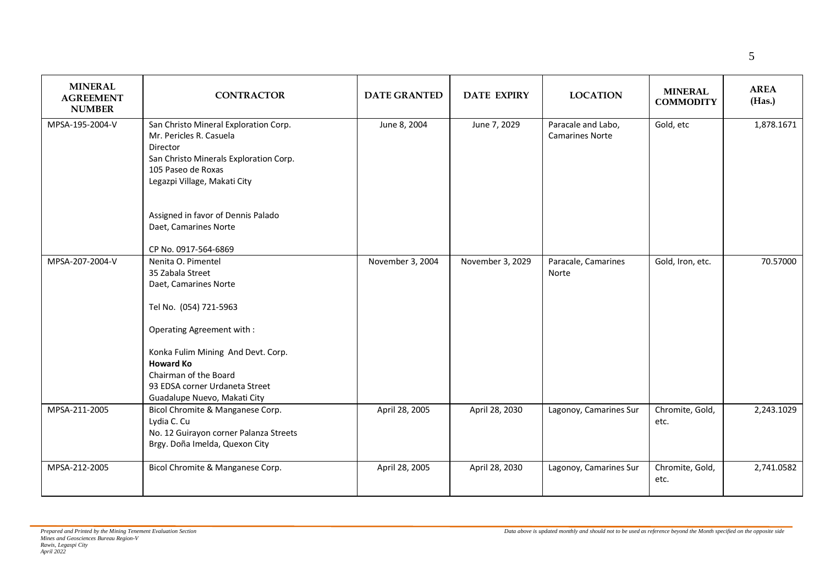| <b>MINERAL</b><br><b>AGREEMENT</b><br><b>NUMBER</b> | <b>CONTRACTOR</b>                                                                                                                                                                                                                                                           | <b>DATE GRANTED</b> | <b>DATE EXPIRY</b> | <b>LOCATION</b>                              | <b>MINERAL</b><br><b>COMMODITY</b> | <b>AREA</b><br>(Has.) |
|-----------------------------------------------------|-----------------------------------------------------------------------------------------------------------------------------------------------------------------------------------------------------------------------------------------------------------------------------|---------------------|--------------------|----------------------------------------------|------------------------------------|-----------------------|
| MPSA-195-2004-V                                     | San Christo Mineral Exploration Corp.<br>Mr. Pericles R. Casuela<br>Director<br>San Christo Minerals Exploration Corp.<br>105 Paseo de Roxas<br>Legazpi Village, Makati City<br>Assigned in favor of Dennis Palado<br>Daet, Camarines Norte<br>CP No. 0917-564-6869         | June 8, 2004        | June 7, 2029       | Paracale and Labo,<br><b>Camarines Norte</b> | Gold, etc                          | 1,878.1671            |
| MPSA-207-2004-V                                     | Nenita O. Pimentel<br>35 Zabala Street<br>Daet, Camarines Norte<br>Tel No. (054) 721-5963<br>Operating Agreement with:<br>Konka Fulim Mining And Devt. Corp.<br><b>Howard Ko</b><br>Chairman of the Board<br>93 EDSA corner Urdaneta Street<br>Guadalupe Nuevo, Makati City | November 3, 2004    | November 3, 2029   | Paracale, Camarines<br>Norte                 | Gold, Iron, etc.                   | 70.57000              |
| MPSA-211-2005                                       | Bicol Chromite & Manganese Corp.<br>Lydia C. Cu<br>No. 12 Guirayon corner Palanza Streets<br>Brgy. Doña Imelda, Quexon City                                                                                                                                                 | April 28, 2005      | April 28, 2030     | Lagonoy, Camarines Sur                       | Chromite, Gold,<br>etc.            | 2,243.1029            |
| MPSA-212-2005                                       | Bicol Chromite & Manganese Corp.                                                                                                                                                                                                                                            | April 28, 2005      | April 28, 2030     | Lagonoy, Camarines Sur                       | Chromite, Gold,<br>etc.            | 2,741.0582            |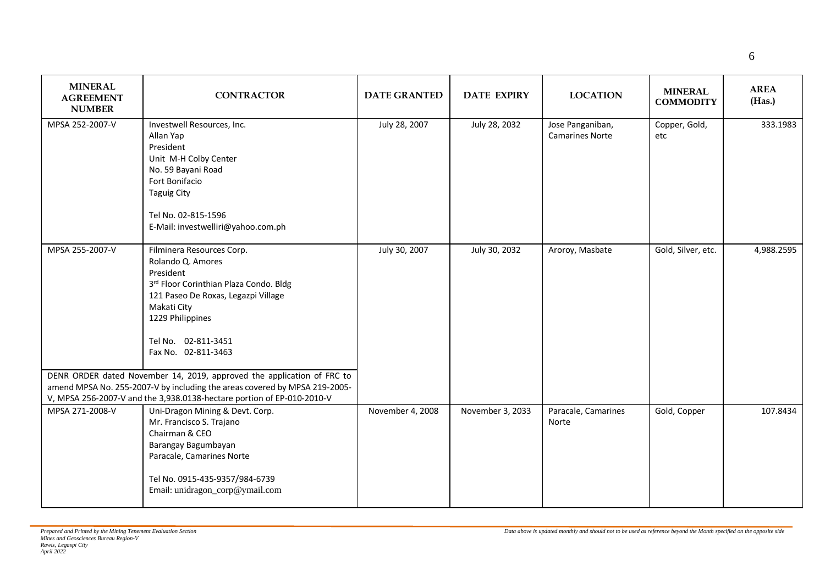6

| <b>MINERAL</b><br><b>AGREEMENT</b><br><b>NUMBER</b> | <b>CONTRACTOR</b>                                                                                                                                                                                                                                                                                       | <b>DATE GRANTED</b> | <b>DATE EXPIRY</b> | <b>LOCATION</b>                            | <b>MINERAL</b><br><b>COMMODITY</b> | <b>AREA</b><br>(Has.) |
|-----------------------------------------------------|---------------------------------------------------------------------------------------------------------------------------------------------------------------------------------------------------------------------------------------------------------------------------------------------------------|---------------------|--------------------|--------------------------------------------|------------------------------------|-----------------------|
| MPSA 252-2007-V                                     | Investwell Resources, Inc.<br>Allan Yap<br>President<br>Unit M-H Colby Center<br>No. 59 Bayani Road<br>Fort Bonifacio<br><b>Taguig City</b><br>Tel No. 02-815-1596<br>E-Mail: investwelliri@yahoo.com.ph                                                                                                | July 28, 2007       | July 28, 2032      | Jose Panganiban,<br><b>Camarines Norte</b> | Copper, Gold,<br>etc               | 333.1983              |
| MPSA 255-2007-V                                     | Filminera Resources Corp.<br>Rolando Q. Amores<br>President<br>3rd Floor Corinthian Plaza Condo. Bldg<br>121 Paseo De Roxas, Legazpi Village<br>Makati City<br>1229 Philippines<br>Tel No. 02-811-3451<br>Fax No. 02-811-3463<br>DENR ORDER dated November 14, 2019, approved the application of FRC to | July 30, 2007       | July 30, 2032      | Aroroy, Masbate                            | Gold, Silver, etc.                 | 4,988.2595            |
|                                                     | amend MPSA No. 255-2007-V by including the areas covered by MPSA 219-2005-<br>V, MPSA 256-2007-V and the 3,938.0138-hectare portion of EP-010-2010-V                                                                                                                                                    |                     |                    |                                            |                                    |                       |
| MPSA 271-2008-V                                     | Uni-Dragon Mining & Devt. Corp.<br>Mr. Francisco S. Trajano<br>Chairman & CEO<br>Barangay Bagumbayan<br>Paracale, Camarines Norte<br>Tel No. 0915-435-9357/984-6739<br>Email: unidragon_corp@ymail.com                                                                                                  | November 4, 2008    | November 3, 2033   | Paracale, Camarines<br>Norte               | Gold, Copper                       | 107.8434              |

 $\mathbf{I}$ 

 $\mathbf{I}$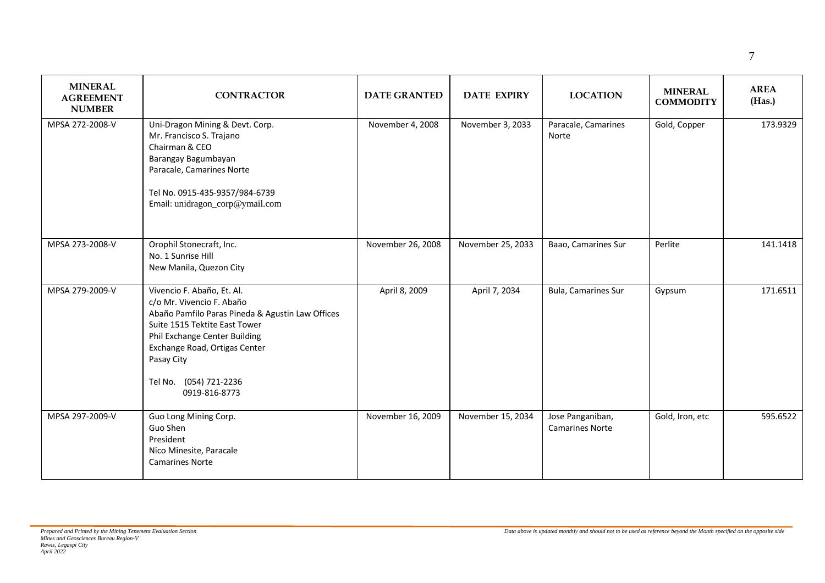| <b>MINERAL</b><br><b>AGREEMENT</b><br><b>NUMBER</b> | <b>CONTRACTOR</b>                                                                                                                                                                                                                                                       | <b>DATE GRANTED</b> | <b>DATE EXPIRY</b> | <b>LOCATION</b>                            | <b>MINERAL</b><br><b>COMMODITY</b> | <b>AREA</b><br>(Has.) |
|-----------------------------------------------------|-------------------------------------------------------------------------------------------------------------------------------------------------------------------------------------------------------------------------------------------------------------------------|---------------------|--------------------|--------------------------------------------|------------------------------------|-----------------------|
| MPSA 272-2008-V                                     | Uni-Dragon Mining & Devt. Corp.<br>Mr. Francisco S. Trajano<br>Chairman & CEO<br>Barangay Bagumbayan<br>Paracale, Camarines Norte<br>Tel No. 0915-435-9357/984-6739<br>Email: unidragon_corp@ymail.com                                                                  | November 4, 2008    | November 3, 2033   | Paracale, Camarines<br>Norte               | Gold, Copper                       | 173.9329              |
| MPSA 273-2008-V                                     | Orophil Stonecraft, Inc.<br>No. 1 Sunrise Hill<br>New Manila, Quezon City                                                                                                                                                                                               | November 26, 2008   | November 25, 2033  | Baao, Camarines Sur                        | Perlite                            | 141.1418              |
| MPSA 279-2009-V                                     | Vivencio F. Abaño, Et. Al.<br>c/o Mr. Vivencio F. Abaño<br>Abaño Pamfilo Paras Pineda & Agustin Law Offices<br>Suite 1515 Tektite East Tower<br>Phil Exchange Center Building<br>Exchange Road, Ortigas Center<br>Pasay City<br>Tel No. (054) 721-2236<br>0919-816-8773 | April 8, 2009       | April 7, 2034      | Bula, Camarines Sur                        | Gypsum                             | 171.6511              |
| MPSA 297-2009-V                                     | Guo Long Mining Corp.<br>Guo Shen<br>President<br>Nico Minesite, Paracale<br><b>Camarines Norte</b>                                                                                                                                                                     | November 16, 2009   | November 15, 2034  | Jose Panganiban,<br><b>Camarines Norte</b> | Gold, Iron, etc                    | 595.6522              |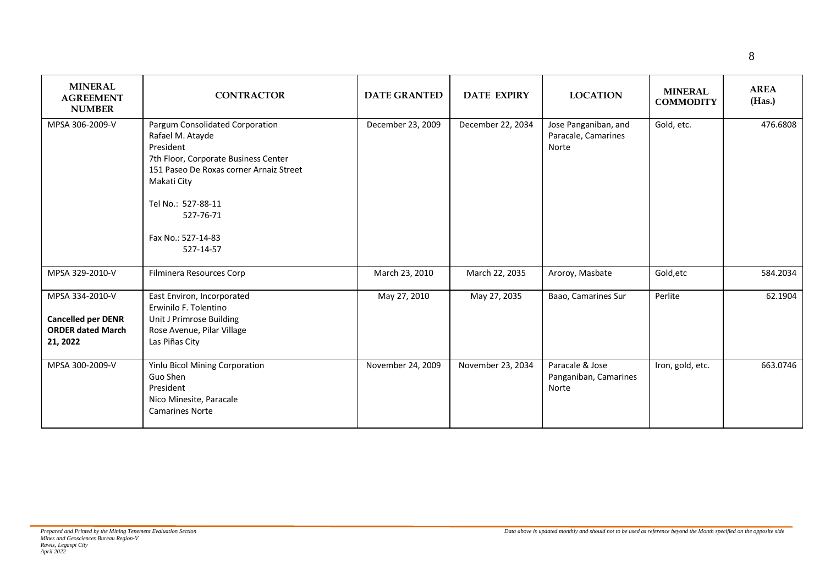| <b>MINERAL</b><br><b>AGREEMENT</b><br><b>NUMBER</b>                                  | <b>CONTRACTOR</b>                                                                                                                                                                                                                        | <b>DATE GRANTED</b> | <b>DATE EXPIRY</b> | <b>LOCATION</b>                                      | <b>MINERAL</b><br><b>COMMODITY</b> | <b>AREA</b><br>(Has.) |
|--------------------------------------------------------------------------------------|------------------------------------------------------------------------------------------------------------------------------------------------------------------------------------------------------------------------------------------|---------------------|--------------------|------------------------------------------------------|------------------------------------|-----------------------|
| MPSA 306-2009-V                                                                      | Pargum Consolidated Corporation<br>Rafael M. Atayde<br>President<br>7th Floor, Corporate Business Center<br>151 Paseo De Roxas corner Arnaiz Street<br>Makati City<br>Tel No.: 527-88-11<br>527-76-71<br>Fax No.: 527-14-83<br>527-14-57 | December 23, 2009   | December 22, 2034  | Jose Panganiban, and<br>Paracale, Camarines<br>Norte | Gold, etc.                         | 476.6808              |
| MPSA 329-2010-V                                                                      | Filminera Resources Corp                                                                                                                                                                                                                 | March 23, 2010      | March 22, 2035     | Aroroy, Masbate                                      | Gold, etc                          | 584.2034              |
| MPSA 334-2010-V<br><b>Cancelled per DENR</b><br><b>ORDER dated March</b><br>21, 2022 | East Environ, Incorporated<br>Erwinilo F. Tolentino<br>Unit J Primrose Building<br>Rose Avenue, Pilar Village<br>Las Piñas City                                                                                                          | May 27, 2010        | May 27, 2035       | Baao, Camarines Sur                                  | Perlite                            | 62.1904               |

November 24, 2009 November 23, 2034 Paracale & Jose

MPSA 300-2009-V Yinlu Bicol Mining Corporation Guo Shen President

> Nico Minesite, Paracale Camarines Norte

MPSA 306-2009-V

**21, 2022**

Panganiban, Camarines

Norte

Iron, gold, etc. 663.0746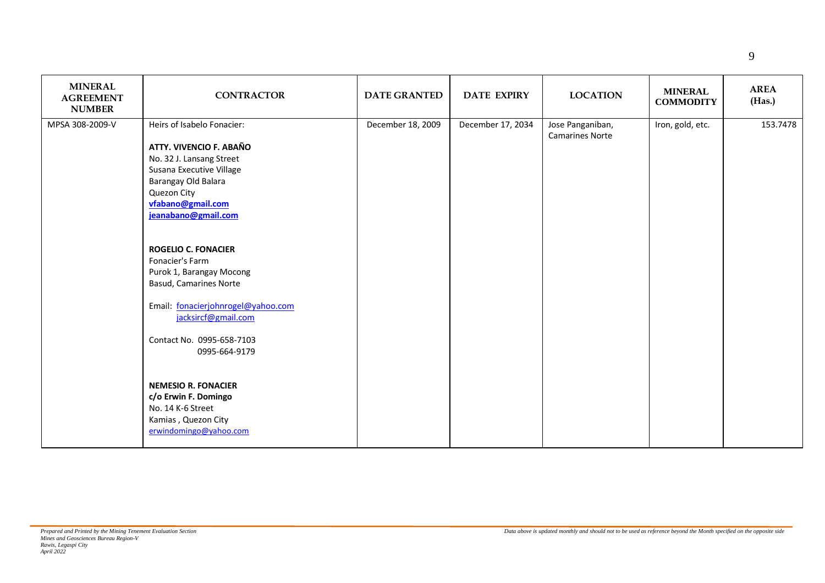| <b>MINERAL</b><br><b>AGREEMENT</b><br><b>NUMBER</b> | <b>CONTRACTOR</b>                                                                                                                                                                                                                                                                                                                                                                                                                                                                                                                             | <b>DATE GRANTED</b> | <b>DATE EXPIRY</b> | <b>LOCATION</b>                            | <b>MINERAL</b><br><b>COMMODITY</b> | <b>AREA</b><br>(Has.) |
|-----------------------------------------------------|-----------------------------------------------------------------------------------------------------------------------------------------------------------------------------------------------------------------------------------------------------------------------------------------------------------------------------------------------------------------------------------------------------------------------------------------------------------------------------------------------------------------------------------------------|---------------------|--------------------|--------------------------------------------|------------------------------------|-----------------------|
| MPSA 308-2009-V                                     | Heirs of Isabelo Fonacier:<br>ATTY. VIVENCIO F. ABAÑO<br>No. 32 J. Lansang Street<br>Susana Executive Village<br>Barangay Old Balara<br>Quezon City<br>vfabano@gmail.com<br>jeanabano@gmail.com<br><b>ROGELIO C. FONACIER</b><br>Fonacier's Farm<br>Purok 1, Barangay Mocong<br>Basud, Camarines Norte<br>Email: fonacierjohnrogel@yahoo.com<br>jacksircf@gmail.com<br>Contact No. 0995-658-7103<br>0995-664-9179<br><b>NEMESIO R. FONACIER</b><br>c/o Erwin F. Domingo<br>No. 14 K-6 Street<br>Kamias, Quezon City<br>erwindomingo@yahoo.com | December 18, 2009   | December 17, 2034  | Jose Panganiban,<br><b>Camarines Norte</b> | Iron, gold, etc.                   | 153.7478              |